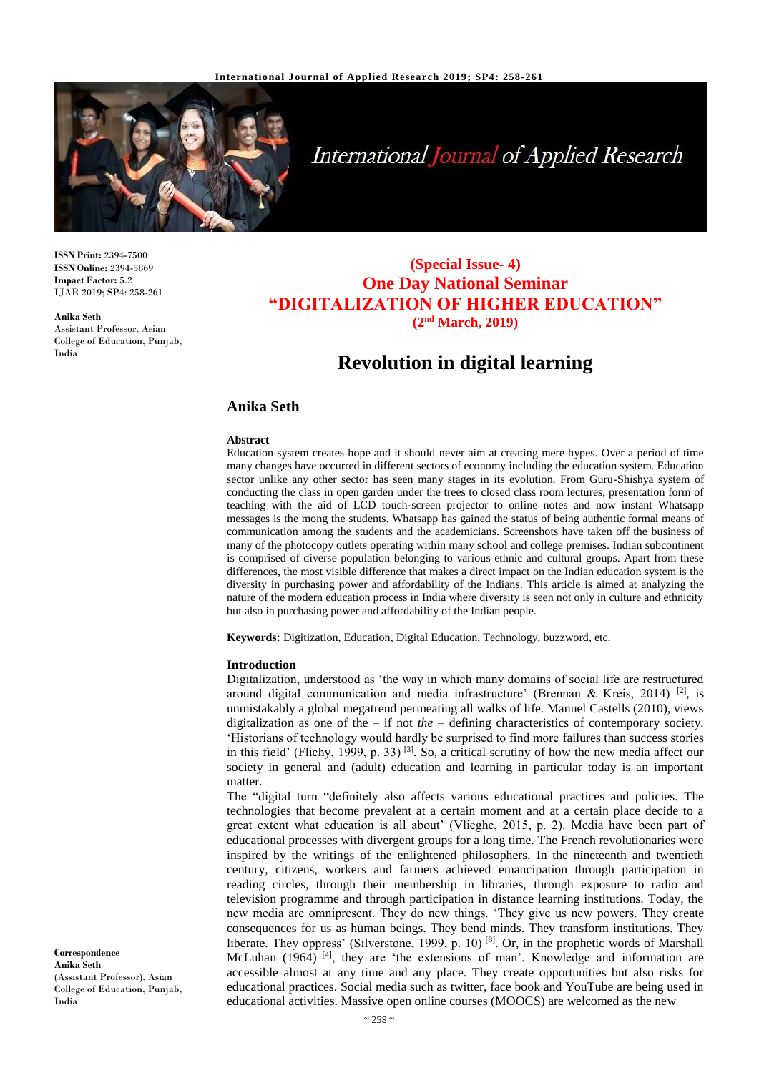

# **International Journal of Applied Research**

**ISSN Print:** 2394-7500 **ISSN Online:** 2394-5869 **Impact Factor:** 5.2 IJAR 2019; SP4: 258-261

**Anika Seth** Assistant Professor, Asian College of Education, Punjab, India

# **(Special Issue- 4) One Day National Seminar "DIGITALIZATION OF HIGHER EDUCATION" (2nd March, 2019)**

# **Revolution in digital learning**

# **Anika Seth**

#### **Abstract**

Education system creates hope and it should never aim at creating mere hypes. Over a period of time many changes have occurred in different sectors of economy including the education system. Education sector unlike any other sector has seen many stages in its evolution. From Guru-Shishya system of conducting the class in open garden under the trees to closed class room lectures, presentation form of teaching with the aid of LCD touch-screen projector to online notes and now instant Whatsapp messages is the mong the students. Whatsapp has gained the status of being authentic formal means of communication among the students and the academicians. Screenshots have taken off the business of many of the photocopy outlets operating within many school and college premises. Indian subcontinent is comprised of diverse population belonging to various ethnic and cultural groups. Apart from these differences, the most visible difference that makes a direct impact on the Indian education system is the diversity in purchasing power and affordability of the Indians. This article is aimed at analyzing the nature of the modern education process in India where diversity is seen not only in culture and ethnicity but also in purchasing power and affordability of the Indian people.

**Keywords:** Digitization, Education, Digital Education, Technology, buzzword, etc.

#### **Introduction**

Digitalization, understood as 'the way in which many domains of social life are restructured around digital communication and media infrastructure' (Brennan & Kreis, 2014) <sup>[2]</sup>, is unmistakably a global megatrend permeating all walks of life. Manuel Castells (2010), views digitalization as one of the – if not *the –* defining characteristics of contemporary society. 'Historians of technology would hardly be surprised to find more failures than success stories in this field' (Flichy, 1999, p. 33)<sup>[3]</sup>. So, a critical scrutiny of how the new media affect our society in general and (adult) education and learning in particular today is an important matter.

The "digital turn "definitely also affects various educational practices and policies. The technologies that become prevalent at a certain moment and at a certain place decide to a great extent what education is all about' (Vlieghe, 2015, p. 2). Media have been part of educational processes with divergent groups for a long time. The French revolutionaries were inspired by the writings of the enlightened philosophers. In the nineteenth and twentieth century, citizens, workers and farmers achieved emancipation through participation in reading circles, through their membership in libraries, through exposure to radio and television programme and through participation in distance learning institutions. Today, the new media are omnipresent. They do new things. 'They give us new powers. They create consequences for us as human beings. They bend minds. They transform institutions. They liberate. They oppress' (Silverstone, 1999, p. 10)<sup>[8]</sup>. Or, in the prophetic words of Marshall McLuhan (1964)<sup>[4]</sup>, they are 'the extensions of man'. Knowledge and information are accessible almost at any time and any place. They create opportunities but also risks for educational practices. Social media such as twitter, face book and YouTube are being used in educational activities. Massive open online courses (MOOCS) are welcomed as the new

**Correspondence Anika Seth** (Assistant Professor), Asian College of Education, Punjab, India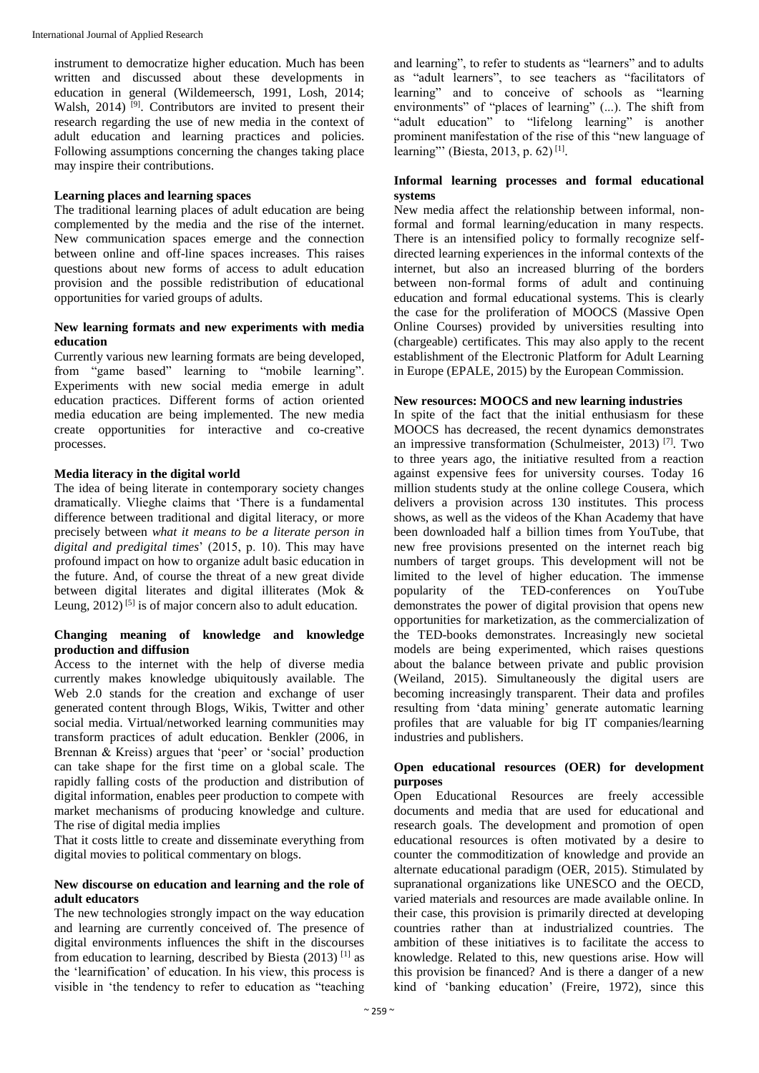instrument to democratize higher education. Much has been written and discussed about these developments in education in general (Wildemeersch, 1991, Losh, 2014; Walsh, 2014)<sup>[9]</sup>. Contributors are invited to present their research regarding the use of new media in the context of adult education and learning practices and policies. Following assumptions concerning the changes taking place may inspire their contributions.

#### **Learning places and learning spaces**

The traditional learning places of adult education are being complemented by the media and the rise of the internet. New communication spaces emerge and the connection between online and off-line spaces increases. This raises questions about new forms of access to adult education provision and the possible redistribution of educational opportunities for varied groups of adults.

### **New learning formats and new experiments with media education**

Currently various new learning formats are being developed, from "game based" learning to "mobile learning". Experiments with new social media emerge in adult education practices. Different forms of action oriented media education are being implemented. The new media create opportunities for interactive and co-creative processes.

## **Media literacy in the digital world**

The idea of being literate in contemporary society changes dramatically. Vlieghe claims that 'There is a fundamental difference between traditional and digital literacy, or more precisely between *what it means to be a literate person in digital and predigital times*' (2015, p. 10). This may have profound impact on how to organize adult basic education in the future. And, of course the threat of a new great divide between digital literates and digital illiterates (Mok & Leung,  $2012$ <sup>[5]</sup> is of major concern also to adult education.

# **Changing meaning of knowledge and knowledge production and diffusion**

Access to the internet with the help of diverse media currently makes knowledge ubiquitously available. The Web 2.0 stands for the creation and exchange of user generated content through Blogs, Wikis, Twitter and other social media. Virtual/networked learning communities may transform practices of adult education. Benkler (2006, in Brennan & Kreiss) argues that 'peer' or 'social' production can take shape for the first time on a global scale. The rapidly falling costs of the production and distribution of digital information, enables peer production to compete with market mechanisms of producing knowledge and culture. The rise of digital media implies

That it costs little to create and disseminate everything from digital movies to political commentary on blogs.

## **New discourse on education and learning and the role of adult educators**

The new technologies strongly impact on the way education and learning are currently conceived of. The presence of digital environments influences the shift in the discourses from education to learning, described by Biesta  $(2013)$ <sup>[1]</sup> as the 'learnification' of education. In his view, this process is visible in 'the tendency to refer to education as "teaching

and learning", to refer to students as "learners" and to adults as "adult learners", to see teachers as "facilitators of learning" and to conceive of schools as "learning environments" of "places of learning" (...). The shift from "adult education" to "lifelong learning" is another prominent manifestation of the rise of this "new language of learning"' (Biesta, 2013, p. 62)<sup>[1]</sup>.

## **Informal learning processes and formal educational systems**

New media affect the relationship between informal, nonformal and formal learning/education in many respects. There is an intensified policy to formally recognize selfdirected learning experiences in the informal contexts of the internet, but also an increased blurring of the borders between non-formal forms of adult and continuing education and formal educational systems. This is clearly the case for the proliferation of MOOCS (Massive Open Online Courses) provided by universities resulting into (chargeable) certificates. This may also apply to the recent establishment of the Electronic Platform for Adult Learning in Europe (EPALE, 2015) by the European Commission.

## **New resources: MOOCS and new learning industries**

In spite of the fact that the initial enthusiasm for these MOOCS has decreased, the recent dynamics demonstrates an impressive transformation (Schulmeister, 2013)<sup>[7]</sup>. Two to three years ago, the initiative resulted from a reaction against expensive fees for university courses. Today 16 million students study at the online college Cousera, which delivers a provision across 130 institutes. This process shows, as well as the videos of the Khan Academy that have been downloaded half a billion times from YouTube, that new free provisions presented on the internet reach big numbers of target groups. This development will not be limited to the level of higher education. The immense popularity of the TED-conferences on YouTube demonstrates the power of digital provision that opens new opportunities for marketization, as the commercialization of the TED-books demonstrates. Increasingly new societal models are being experimented, which raises questions about the balance between private and public provision (Weiland, 2015). Simultaneously the digital users are becoming increasingly transparent. Their data and profiles resulting from 'data mining' generate automatic learning profiles that are valuable for big IT companies/learning industries and publishers.

#### **Open educational resources (OER) for development purposes**

Open Educational Resources are freely accessible documents and media that are used for educational and research goals. The development and promotion of open educational resources is often motivated by a desire to counter the commoditization of knowledge and provide an alternate educational paradigm (OER, 2015). Stimulated by supranational organizations like UNESCO and the OECD, varied materials and resources are made available online. In their case, this provision is primarily directed at developing countries rather than at industrialized countries. The ambition of these initiatives is to facilitate the access to knowledge. Related to this, new questions arise. How will this provision be financed? And is there a danger of a new kind of 'banking education' (Freire, 1972), since this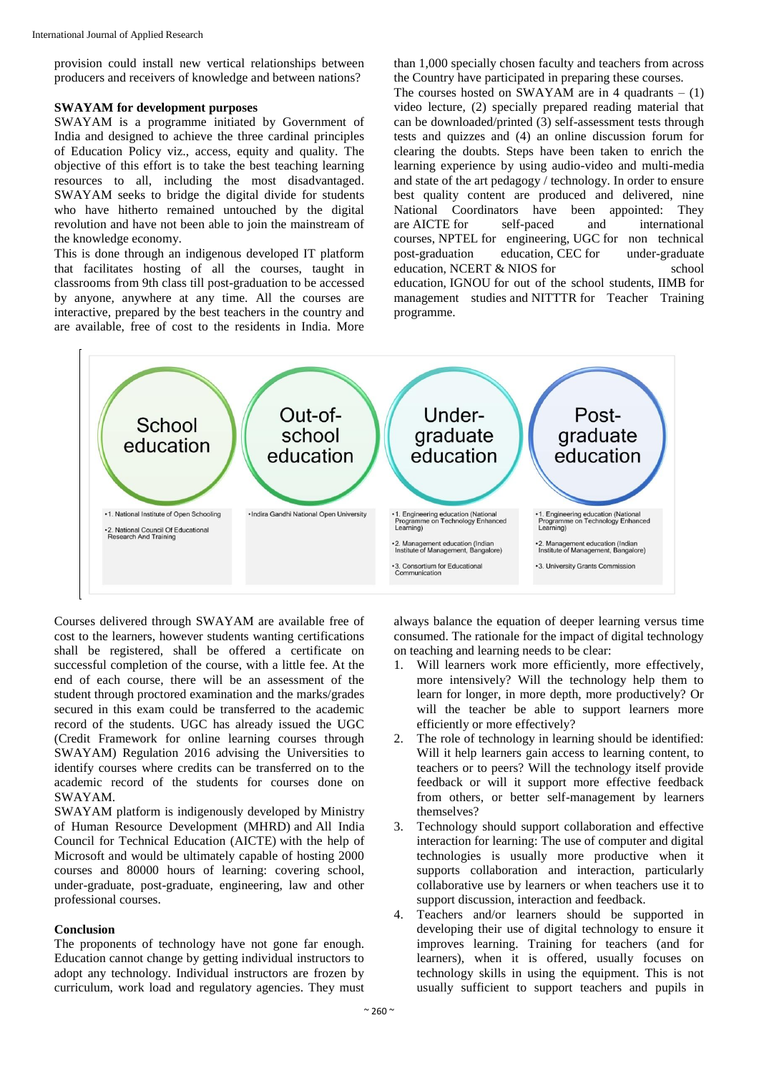provision could install new vertical relationships between producers and receivers of knowledge and between nations?

#### **SWAYAM for development purposes**

SWAYAM is a programme initiated by Government of India and designed to achieve the three cardinal principles of Education Policy viz., access, equity and quality. The objective of this effort is to take the best teaching learning resources to all, including the most disadvantaged. SWAYAM seeks to bridge the digital divide for students who have hitherto remained untouched by the digital revolution and have not been able to join the mainstream of the knowledge economy.

This is done through an indigenous developed IT platform that facilitates hosting of all the courses, taught in classrooms from 9th class till post-graduation to be accessed by anyone, anywhere at any time. All the courses are interactive, prepared by the best teachers in the country and are available, free of cost to the residents in India. More

than 1,000 specially chosen faculty and teachers from across the Country have participated in preparing these courses.

The courses hosted on SWAYAM are in 4 quadrants  $- (1)$ video lecture, (2) specially prepared reading material that can be downloaded/printed (3) self-assessment tests through tests and quizzes and (4) an online discussion forum for clearing the doubts. Steps have been taken to enrich the learning experience by using audio-video and multi-media and state of the art pedagogy / technology. In order to ensure best quality content are produced and delivered, nine National Coordinators have been appointed: They are AICTE for self-paced and international courses, NPTEL for engineering, UGC for non technical post-graduation education, CEC for under-graduate education, NCERT & NIOS for school education, IGNOU for out of the school students, IIMB for management studies and NITTTR for Teacher Training programme.



Courses delivered through SWAYAM are available free of cost to the learners, however students wanting certifications shall be registered, shall be offered a certificate on successful completion of the course, with a little fee. At the end of each course, there will be an assessment of the student through proctored examination and the marks/grades secured in this exam could be transferred to the academic record of the students. UGC has already issued the UGC (Credit Framework for online learning courses through SWAYAM) Regulation 2016 advising the Universities to identify courses where credits can be transferred on to the academic record of the students for courses done on SWAYAM.

SWAYAM platform is indigenously developed by Ministry of Human Resource Development (MHRD) and All India Council for Technical Education (AICTE) with the help of Microsoft and would be ultimately capable of hosting 2000 courses and 80000 hours of learning: covering school, under-graduate, post-graduate, engineering, law and other professional courses.

#### **Conclusion**

The proponents of technology have not gone far enough. Education cannot change by getting individual instructors to adopt any technology. Individual instructors are frozen by curriculum, work load and regulatory agencies. They must always balance the equation of deeper learning versus time consumed. The rationale for the impact of digital technology on teaching and learning needs to be clear:

- 1. Will learners work more efficiently, more effectively, more intensively? Will the technology help them to learn for longer, in more depth, more productively? Or will the teacher be able to support learners more efficiently or more effectively?
- 2. The role of technology in learning should be identified: Will it help learners gain access to learning content, to teachers or to peers? Will the technology itself provide feedback or will it support more effective feedback from others, or better self-management by learners themselves?
- 3. Technology should support collaboration and effective interaction for learning: The use of computer and digital technologies is usually more productive when it supports collaboration and interaction, particularly collaborative use by learners or when teachers use it to support discussion, interaction and feedback.
- 4. Teachers and/or learners should be supported in developing their use of digital technology to ensure it improves learning. Training for teachers (and for learners), when it is offered, usually focuses on technology skills in using the equipment. This is not usually sufficient to support teachers and pupils in